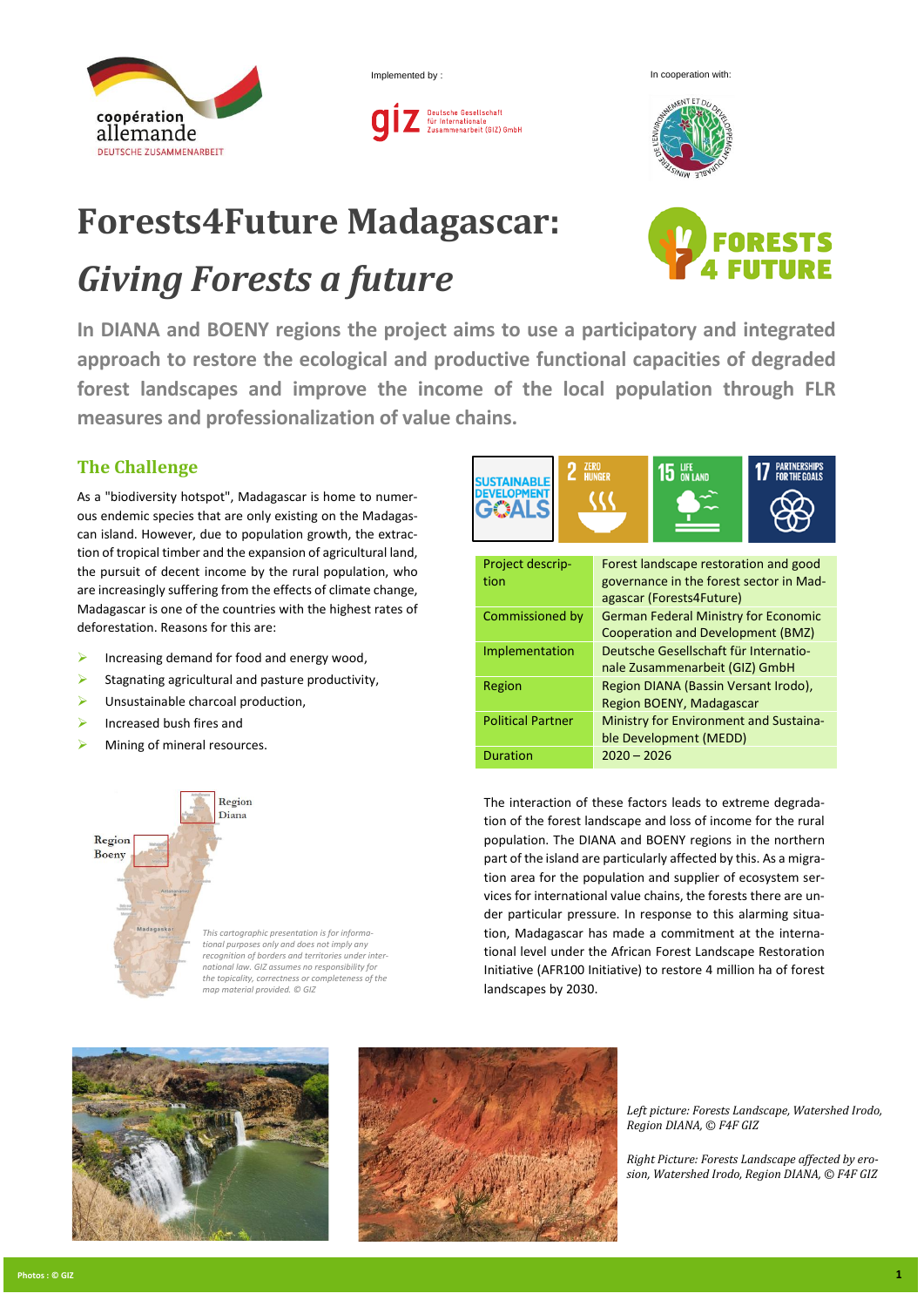

Implemented by : In cooperation with:





## **Forests4Future Madagascar:**

## *Giving Forests a future*

**In DIANA and BOENY regions the project aims to use a participatory and integrated approach to restore the ecological and productive functional capacities of degraded forest landscapes and improve the income of the local population through FLR measures and professionalization of value chains.**

## **The Challenge**

As a "biodiversity hotspot", Madagascar is home to numerous endemic species that are only existing on the Madagascan island. However, due to population growth, the extraction of tropical timber and the expansion of agricultural land, the pursuit of decent income by the rural population, who are increasingly suffering from the effects of climate change, Madagascar is one of the countries with the highest rates of deforestation. Reasons for this are:

- $\triangleright$  Increasing demand for food and energy wood,
- Stagnating agricultural and pasture productivity,
- Unsustainable charcoal production,
- ➢ Increased bush fires and
- Mining of mineral resources.



*This cartographic presentation is for informational purposes only and does not imply any*  recognition of borders and territories under inter *national law. GIZ assumes no responsibility for the topicality, correctness or completeness of the map material provided. © GIZ*



The interaction of these factors leads to extreme degradation of the forest landscape and loss of income for the rural population. The DIANA and BOENY regions in the northern part of the island are particularly affected by this. As a migration area for the population and supplier of ecosystem services for international value chains, the forests there are under particular pressure. In response to this alarming situation, Madagascar has made a commitment at the international level under the African Forest Landscape Restoration Initiative (AFR100 Initiative) to restore 4 million ha of forest landscapes by 2030.





*Left picture: Forests Landscape, Watershed Irodo, Region DIANA, © F4F GIZ* 

*Right Picture: Forests Landscape affected by erosion, Watershed Irodo, Region DIANA, © F4F GIZ*